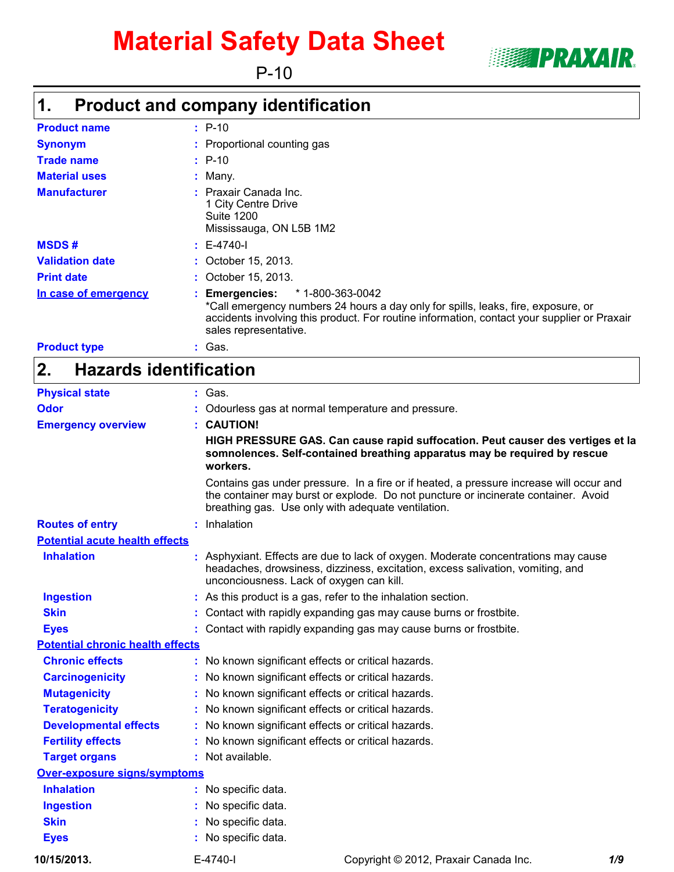# **Material Safety Data Sheet**

P-10



# **Product and company identification 1.**

| <b>Product name</b>    | $: P-10$                                                                                                                                                                                                                                             |  |
|------------------------|------------------------------------------------------------------------------------------------------------------------------------------------------------------------------------------------------------------------------------------------------|--|
| <b>Synonym</b>         | : Proportional counting gas                                                                                                                                                                                                                          |  |
| <b>Trade name</b>      | $: P-10$                                                                                                                                                                                                                                             |  |
| <b>Material uses</b>   | $:$ Many.                                                                                                                                                                                                                                            |  |
| <b>Manufacturer</b>    | $:$ Praxair Canada Inc.<br>1 City Centre Drive<br><b>Suite 1200</b><br>Mississauga, ON L5B 1M2                                                                                                                                                       |  |
| <b>MSDS#</b>           | $E-4740-I$                                                                                                                                                                                                                                           |  |
| <b>Validation date</b> | : October 15, 2013.                                                                                                                                                                                                                                  |  |
| <b>Print date</b>      | : October 15, 2013.                                                                                                                                                                                                                                  |  |
| In case of emergency   | * 1-800-363-0042<br><b>Emergencies:</b><br>*Call emergency numbers 24 hours a day only for spills, leaks, fire, exposure, or<br>accidents involving this product. For routine information, contact your supplier or Praxair<br>sales representative. |  |
| <b>Product type</b>    | : Gas.                                                                                                                                                                                                                                               |  |

### **Hazards identification 2.**

| <b>Physical state</b>                   | $:$ Gas.                                                     |                                                                                                                                                                               |     |  |  |  |  |  |
|-----------------------------------------|--------------------------------------------------------------|-------------------------------------------------------------------------------------------------------------------------------------------------------------------------------|-----|--|--|--|--|--|
| <b>Odor</b>                             | Odourless gas at normal temperature and pressure.            |                                                                                                                                                                               |     |  |  |  |  |  |
| <b>Emergency overview</b>               | <b>CAUTION!</b>                                              |                                                                                                                                                                               |     |  |  |  |  |  |
|                                         | workers.                                                     | HIGH PRESSURE GAS. Can cause rapid suffocation. Peut causer des vertiges et la<br>somnolences. Self-contained breathing apparatus may be required by rescue                   |     |  |  |  |  |  |
|                                         | breathing gas. Use only with adequate ventilation.           | Contains gas under pressure. In a fire or if heated, a pressure increase will occur and<br>the container may burst or explode. Do not puncture or incinerate container. Avoid |     |  |  |  |  |  |
| <b>Routes of entry</b>                  | : Inhalation                                                 |                                                                                                                                                                               |     |  |  |  |  |  |
| <b>Potential acute health effects</b>   |                                                              |                                                                                                                                                                               |     |  |  |  |  |  |
| <b>Inhalation</b>                       | unconciousness. Lack of oxygen can kill.                     | : Asphyxiant. Effects are due to lack of oxygen. Moderate concentrations may cause<br>headaches, drowsiness, dizziness, excitation, excess salivation, vomiting, and          |     |  |  |  |  |  |
| <b>Ingestion</b>                        | : As this product is a gas, refer to the inhalation section. |                                                                                                                                                                               |     |  |  |  |  |  |
| <b>Skin</b>                             |                                                              | : Contact with rapidly expanding gas may cause burns or frostbite.                                                                                                            |     |  |  |  |  |  |
| <b>Eyes</b>                             |                                                              | : Contact with rapidly expanding gas may cause burns or frostbite.                                                                                                            |     |  |  |  |  |  |
| <b>Potential chronic health effects</b> |                                                              |                                                                                                                                                                               |     |  |  |  |  |  |
| <b>Chronic effects</b>                  | : No known significant effects or critical hazards.          |                                                                                                                                                                               |     |  |  |  |  |  |
| <b>Carcinogenicity</b>                  | : No known significant effects or critical hazards.          |                                                                                                                                                                               |     |  |  |  |  |  |
| <b>Mutagenicity</b>                     | : No known significant effects or critical hazards.          |                                                                                                                                                                               |     |  |  |  |  |  |
| <b>Teratogenicity</b>                   | : No known significant effects or critical hazards.          |                                                                                                                                                                               |     |  |  |  |  |  |
| <b>Developmental effects</b>            | : No known significant effects or critical hazards.          |                                                                                                                                                                               |     |  |  |  |  |  |
| <b>Fertility effects</b>                | : No known significant effects or critical hazards.          |                                                                                                                                                                               |     |  |  |  |  |  |
| <b>Target organs</b>                    | : Not available.                                             |                                                                                                                                                                               |     |  |  |  |  |  |
| Over-exposure signs/symptoms            |                                                              |                                                                                                                                                                               |     |  |  |  |  |  |
| <b>Inhalation</b>                       | : No specific data.                                          |                                                                                                                                                                               |     |  |  |  |  |  |
| <b>Ingestion</b>                        | : No specific data.                                          |                                                                                                                                                                               |     |  |  |  |  |  |
| <b>Skin</b>                             | No specific data.                                            |                                                                                                                                                                               |     |  |  |  |  |  |
| <b>Eyes</b>                             | : No specific data.                                          |                                                                                                                                                                               |     |  |  |  |  |  |
| 10/15/2013.                             | E-4740-I                                                     | Copyright © 2012, Praxair Canada Inc.                                                                                                                                         | 1/9 |  |  |  |  |  |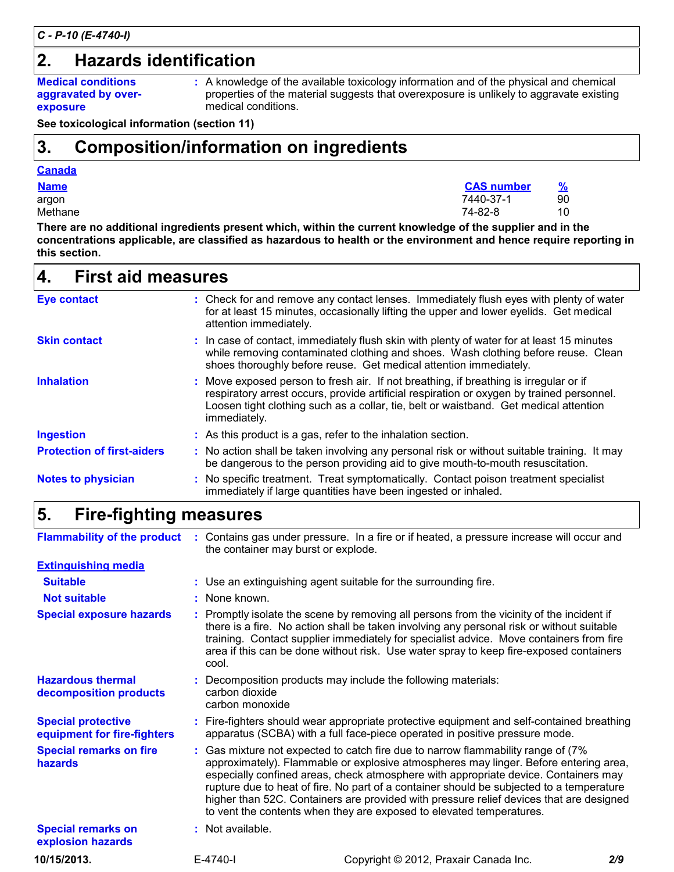# **2. Hazards identification**

**Medical conditions aggravated by overexposure**

A knowledge of the available toxicology information and of the physical and chemical **:** properties of the material suggests that overexposure is unlikely to aggravate existing medical conditions.

**See toxicological information (section 11)**

# **Composition/information on ingredients 3.**

### **Canada**

| <b>Name</b>                                                                                                | <b>CAS</b> number | $\%$ |  |  |  |  |
|------------------------------------------------------------------------------------------------------------|-------------------|------|--|--|--|--|
| argon                                                                                                      | 7440-37-1         | 90   |  |  |  |  |
| Methane                                                                                                    | 74-82-8           | 10   |  |  |  |  |
| There are no additional ingredients present which, within the current knowledge of the supplier and in the |                   |      |  |  |  |  |

**concentrations applicable, are classified as hazardous to health or the environment and hence require reporting in this section.**

| <b>First aid measures</b><br>4.   |                                                                                                                                                                                                                                                                                             |
|-----------------------------------|---------------------------------------------------------------------------------------------------------------------------------------------------------------------------------------------------------------------------------------------------------------------------------------------|
| <b>Eye contact</b>                | : Check for and remove any contact lenses. Immediately flush eyes with plenty of water<br>for at least 15 minutes, occasionally lifting the upper and lower eyelids. Get medical<br>attention immediately.                                                                                  |
| <b>Skin contact</b>               | : In case of contact, immediately flush skin with plenty of water for at least 15 minutes<br>while removing contaminated clothing and shoes. Wash clothing before reuse. Clean<br>shoes thoroughly before reuse. Get medical attention immediately.                                         |
| <b>Inhalation</b>                 | : Move exposed person to fresh air. If not breathing, if breathing is irregular or if<br>respiratory arrest occurs, provide artificial respiration or oxygen by trained personnel.<br>Loosen tight clothing such as a collar, tie, belt or waistband. Get medical attention<br>immediately. |
| <b>Ingestion</b>                  | : As this product is a gas, refer to the inhalation section.                                                                                                                                                                                                                                |
| <b>Protection of first-aiders</b> | : No action shall be taken involving any personal risk or without suitable training. It may<br>be dangerous to the person providing aid to give mouth-to-mouth resuscitation.                                                                                                               |
| <b>Notes to physician</b>         | : No specific treatment. Treat symptomatically. Contact poison treatment specialist<br>immediately if large quantities have been ingested or inhaled.                                                                                                                                       |

## **Fire-fighting measures 5.**

|                                                          | the container may burst or explode.                                                                                                                                                                                                                                                                                                                                                                                                                                                                                             | Flammability of the product : Contains gas under pressure. In a fire or if heated, a pressure increase will occur and                                                                                                                                                                                                                                                       |     |  |  |  |  |  |
|----------------------------------------------------------|---------------------------------------------------------------------------------------------------------------------------------------------------------------------------------------------------------------------------------------------------------------------------------------------------------------------------------------------------------------------------------------------------------------------------------------------------------------------------------------------------------------------------------|-----------------------------------------------------------------------------------------------------------------------------------------------------------------------------------------------------------------------------------------------------------------------------------------------------------------------------------------------------------------------------|-----|--|--|--|--|--|
| <b>Extinguishing media</b>                               |                                                                                                                                                                                                                                                                                                                                                                                                                                                                                                                                 |                                                                                                                                                                                                                                                                                                                                                                             |     |  |  |  |  |  |
| <b>Suitable</b>                                          |                                                                                                                                                                                                                                                                                                                                                                                                                                                                                                                                 | : Use an extinguishing agent suitable for the surrounding fire.                                                                                                                                                                                                                                                                                                             |     |  |  |  |  |  |
| <b>Not suitable</b>                                      | : None known.                                                                                                                                                                                                                                                                                                                                                                                                                                                                                                                   |                                                                                                                                                                                                                                                                                                                                                                             |     |  |  |  |  |  |
| <b>Special exposure hazards</b>                          | cool.                                                                                                                                                                                                                                                                                                                                                                                                                                                                                                                           | : Promptly isolate the scene by removing all persons from the vicinity of the incident if<br>there is a fire. No action shall be taken involving any personal risk or without suitable<br>training. Contact supplier immediately for specialist advice. Move containers from fire<br>area if this can be done without risk. Use water spray to keep fire-exposed containers |     |  |  |  |  |  |
| <b>Hazardous thermal</b><br>decomposition products       | carbon dioxide<br>carbon monoxide                                                                                                                                                                                                                                                                                                                                                                                                                                                                                               | : Decomposition products may include the following materials:                                                                                                                                                                                                                                                                                                               |     |  |  |  |  |  |
| <b>Special protective</b><br>equipment for fire-fighters |                                                                                                                                                                                                                                                                                                                                                                                                                                                                                                                                 | : Fire-fighters should wear appropriate protective equipment and self-contained breathing<br>apparatus (SCBA) with a full face-piece operated in positive pressure mode.                                                                                                                                                                                                    |     |  |  |  |  |  |
| <b>Special remarks on fire</b><br>hazards                | : Gas mixture not expected to catch fire due to narrow flammability range of (7%)<br>approximately). Flammable or explosive atmospheres may linger. Before entering area,<br>especially confined areas, check atmosphere with appropriate device. Containers may<br>rupture due to heat of fire. No part of a container should be subjected to a temperature<br>higher than 52C. Containers are provided with pressure relief devices that are designed<br>to vent the contents when they are exposed to elevated temperatures. |                                                                                                                                                                                                                                                                                                                                                                             |     |  |  |  |  |  |
| <b>Special remarks on</b><br>explosion hazards           | : Not available.                                                                                                                                                                                                                                                                                                                                                                                                                                                                                                                |                                                                                                                                                                                                                                                                                                                                                                             |     |  |  |  |  |  |
| 10/15/2013.                                              | E-4740-I                                                                                                                                                                                                                                                                                                                                                                                                                                                                                                                        | Copyright © 2012, Praxair Canada Inc.                                                                                                                                                                                                                                                                                                                                       | 2/9 |  |  |  |  |  |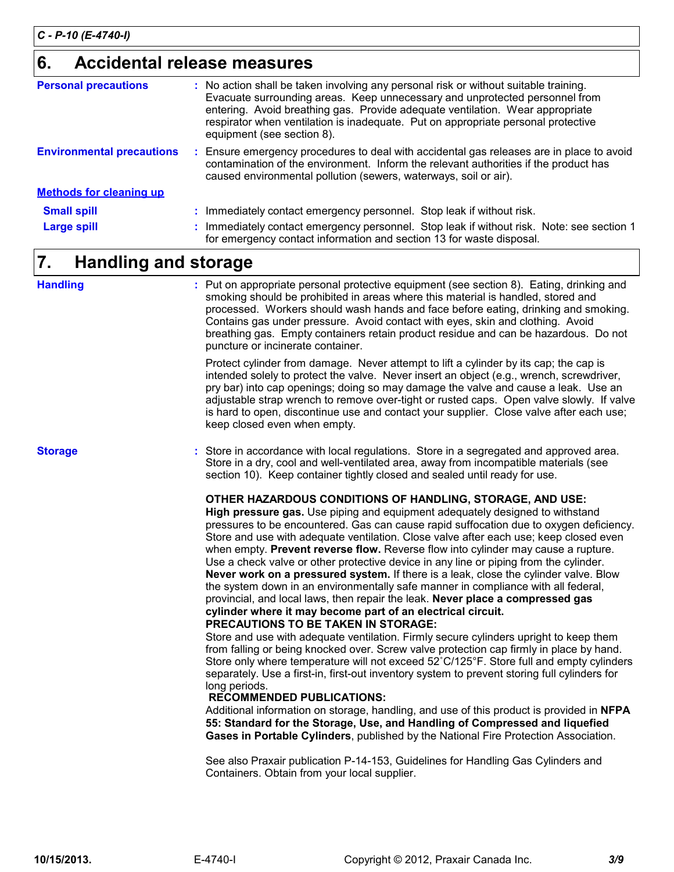# **Accidental release measures 6.**

| <b>Personal precautions</b>      | : No action shall be taken involving any personal risk or without suitable training.<br>Evacuate surrounding areas. Keep unnecessary and unprotected personnel from<br>entering. Avoid breathing gas. Provide adequate ventilation. Wear appropriate<br>respirator when ventilation is inadequate. Put on appropriate personal protective<br>equipment (see section 8). |
|----------------------------------|-------------------------------------------------------------------------------------------------------------------------------------------------------------------------------------------------------------------------------------------------------------------------------------------------------------------------------------------------------------------------|
| <b>Environmental precautions</b> | : Ensure emergency procedures to deal with accidental gas releases are in place to avoid<br>contamination of the environment. Inform the relevant authorities if the product has<br>caused environmental pollution (sewers, waterways, soil or air).                                                                                                                    |
| <b>Methods for cleaning up</b>   |                                                                                                                                                                                                                                                                                                                                                                         |
| <b>Small spill</b>               | : Immediately contact emergency personnel. Stop leak if without risk.                                                                                                                                                                                                                                                                                                   |
| <b>Large spill</b>               | : Immediately contact emergency personnel. Stop leak if without risk. Note: see section 1<br>for emergency contact information and section 13 for waste disposal.                                                                                                                                                                                                       |

# **Handling and storage 7.**

| <b>Handling</b> | : Put on appropriate personal protective equipment (see section 8). Eating, drinking and<br>smoking should be prohibited in areas where this material is handled, stored and<br>processed. Workers should wash hands and face before eating, drinking and smoking.<br>Contains gas under pressure. Avoid contact with eyes, skin and clothing. Avoid<br>breathing gas. Empty containers retain product residue and can be hazardous. Do not<br>puncture or incinerate container.                                                                                                                                                                                                                                                                                                                                                         |
|-----------------|------------------------------------------------------------------------------------------------------------------------------------------------------------------------------------------------------------------------------------------------------------------------------------------------------------------------------------------------------------------------------------------------------------------------------------------------------------------------------------------------------------------------------------------------------------------------------------------------------------------------------------------------------------------------------------------------------------------------------------------------------------------------------------------------------------------------------------------|
|                 | Protect cylinder from damage. Never attempt to lift a cylinder by its cap; the cap is<br>intended solely to protect the valve. Never insert an object (e.g., wrench, screwdriver,<br>pry bar) into cap openings; doing so may damage the valve and cause a leak. Use an<br>adjustable strap wrench to remove over-tight or rusted caps. Open valve slowly. If valve<br>is hard to open, discontinue use and contact your supplier. Close valve after each use;<br>keep closed even when empty.                                                                                                                                                                                                                                                                                                                                           |
| <b>Storage</b>  | : Store in accordance with local regulations. Store in a segregated and approved area.<br>Store in a dry, cool and well-ventilated area, away from incompatible materials (see<br>section 10). Keep container tightly closed and sealed until ready for use.                                                                                                                                                                                                                                                                                                                                                                                                                                                                                                                                                                             |
|                 | OTHER HAZARDOUS CONDITIONS OF HANDLING, STORAGE, AND USE:<br>High pressure gas. Use piping and equipment adequately designed to withstand<br>pressures to be encountered. Gas can cause rapid suffocation due to oxygen deficiency.<br>Store and use with adequate ventilation. Close valve after each use; keep closed even<br>when empty. Prevent reverse flow. Reverse flow into cylinder may cause a rupture.<br>Use a check valve or other protective device in any line or piping from the cylinder.<br>Never work on a pressured system. If there is a leak, close the cylinder valve. Blow<br>the system down in an environmentally safe manner in compliance with all federal,<br>provincial, and local laws, then repair the leak. Never place a compressed gas<br>cylinder where it may become part of an electrical circuit. |

**PRECAUTIONS TO BE TAKEN IN STORAGE:**

Store and use with adequate ventilation. Firmly secure cylinders upright to keep them from falling or being knocked over. Screw valve protection cap firmly in place by hand. Store only where temperature will not exceed 52˚C/125°F. Store full and empty cylinders separately. Use a first-in, first-out inventory system to prevent storing full cylinders for long periods.

#### **RECOMMENDED PUBLICATIONS:**

Additional information on storage, handling, and use of this product is provided in **NFPA 55: Standard for the Storage, Use, and Handling of Compressed and liquefied Gases in Portable Cylinders**, published by the National Fire Protection Association.

See also Praxair publication P-14-153, Guidelines for Handling Gas Cylinders and Containers. Obtain from your local supplier.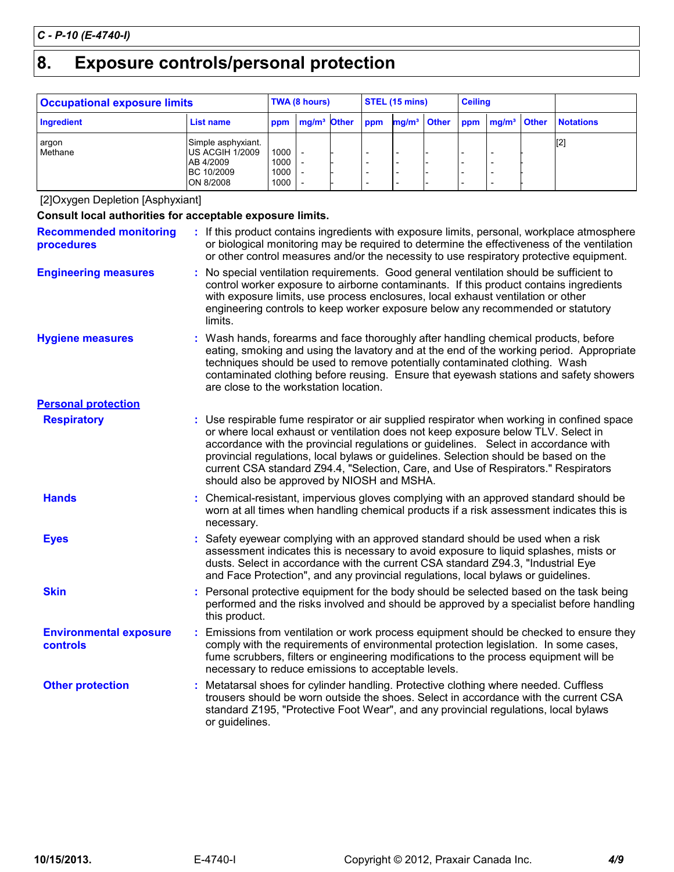# **Exposure controls/personal protection 8.**

| <b>Occupational exposure limits</b> |                                                                                      |                              | TWA (8 hours)           |  |     | STEL (15 mins)          |  |                          | <b>Ceiling</b>              |                  |
|-------------------------------------|--------------------------------------------------------------------------------------|------------------------------|-------------------------|--|-----|-------------------------|--|--------------------------|-----------------------------|------------------|
| Ingredient                          | List name                                                                            | ppm                          | mg/m <sup>3</sup> Other |  | ppm | mg/m <sup>3</sup> Other |  |                          | ppm mg/m <sup>3</sup> Other | <b>Notations</b> |
| argon<br>Methane                    | Simple asphyxiant.<br>US ACGIH 1/2009<br>AB 4/2009<br><b>BC 10/2009</b><br>ON 8/2008 | 1000<br>1000<br>1000<br>1000 |                         |  |     |                         |  | $\overline{\phantom{0}}$ | -<br>-<br>-                 | $[2]$            |

[2]Oxygen Depletion [Asphyxiant]

| Consult local authorities for acceptable exposure limits. |                                                                                                                                                                                                                                                                                      |                                                                                                                                                                                                                                                                                                                                                                                                                                                                                                    |  |  |  |  |  |
|-----------------------------------------------------------|--------------------------------------------------------------------------------------------------------------------------------------------------------------------------------------------------------------------------------------------------------------------------------------|----------------------------------------------------------------------------------------------------------------------------------------------------------------------------------------------------------------------------------------------------------------------------------------------------------------------------------------------------------------------------------------------------------------------------------------------------------------------------------------------------|--|--|--|--|--|
| <b>Recommended monitoring</b><br>procedures               | : If this product contains ingredients with exposure limits, personal, workplace atmosphere<br>or biological monitoring may be required to determine the effectiveness of the ventilation<br>or other control measures and/or the necessity to use respiratory protective equipment. |                                                                                                                                                                                                                                                                                                                                                                                                                                                                                                    |  |  |  |  |  |
| <b>Engineering measures</b>                               |                                                                                                                                                                                                                                                                                      | : No special ventilation requirements. Good general ventilation should be sufficient to<br>control worker exposure to airborne contaminants. If this product contains ingredients<br>with exposure limits, use process enclosures, local exhaust ventilation or other<br>engineering controls to keep worker exposure below any recommended or statutory<br>limits.                                                                                                                                |  |  |  |  |  |
| <b>Hygiene measures</b>                                   |                                                                                                                                                                                                                                                                                      | : Wash hands, forearms and face thoroughly after handling chemical products, before<br>eating, smoking and using the lavatory and at the end of the working period. Appropriate<br>techniques should be used to remove potentially contaminated clothing. Wash<br>contaminated clothing before reusing. Ensure that eyewash stations and safety showers<br>are close to the workstation location.                                                                                                  |  |  |  |  |  |
| <b>Personal protection</b>                                |                                                                                                                                                                                                                                                                                      |                                                                                                                                                                                                                                                                                                                                                                                                                                                                                                    |  |  |  |  |  |
| <b>Respiratory</b>                                        |                                                                                                                                                                                                                                                                                      | : Use respirable fume respirator or air supplied respirator when working in confined space<br>or where local exhaust or ventilation does not keep exposure below TLV. Select in<br>accordance with the provincial regulations or guidelines. Select in accordance with<br>provincial regulations, local bylaws or guidelines. Selection should be based on the<br>current CSA standard Z94.4, "Selection, Care, and Use of Respirators." Respirators<br>should also be approved by NIOSH and MSHA. |  |  |  |  |  |
| <b>Hands</b>                                              |                                                                                                                                                                                                                                                                                      | : Chemical-resistant, impervious gloves complying with an approved standard should be<br>worn at all times when handling chemical products if a risk assessment indicates this is<br>necessary.                                                                                                                                                                                                                                                                                                    |  |  |  |  |  |
| <b>Eyes</b>                                               |                                                                                                                                                                                                                                                                                      | Safety eyewear complying with an approved standard should be used when a risk<br>assessment indicates this is necessary to avoid exposure to liquid splashes, mists or<br>dusts. Select in accordance with the current CSA standard Z94.3, "Industrial Eye<br>and Face Protection", and any provincial regulations, local bylaws or guidelines.                                                                                                                                                    |  |  |  |  |  |
| <b>Skin</b>                                               |                                                                                                                                                                                                                                                                                      | : Personal protective equipment for the body should be selected based on the task being<br>performed and the risks involved and should be approved by a specialist before handling<br>this product.                                                                                                                                                                                                                                                                                                |  |  |  |  |  |
| <b>Environmental exposure</b><br><b>controls</b>          |                                                                                                                                                                                                                                                                                      | : Emissions from ventilation or work process equipment should be checked to ensure they<br>comply with the requirements of environmental protection legislation. In some cases,<br>fume scrubbers, filters or engineering modifications to the process equipment will be<br>necessary to reduce emissions to acceptable levels.                                                                                                                                                                    |  |  |  |  |  |
| <b>Other protection</b>                                   |                                                                                                                                                                                                                                                                                      | Metatarsal shoes for cylinder handling. Protective clothing where needed. Cuffless<br>trousers should be worn outside the shoes. Select in accordance with the current CSA<br>standard Z195, "Protective Foot Wear", and any provincial regulations, local bylaws<br>or guidelines.                                                                                                                                                                                                                |  |  |  |  |  |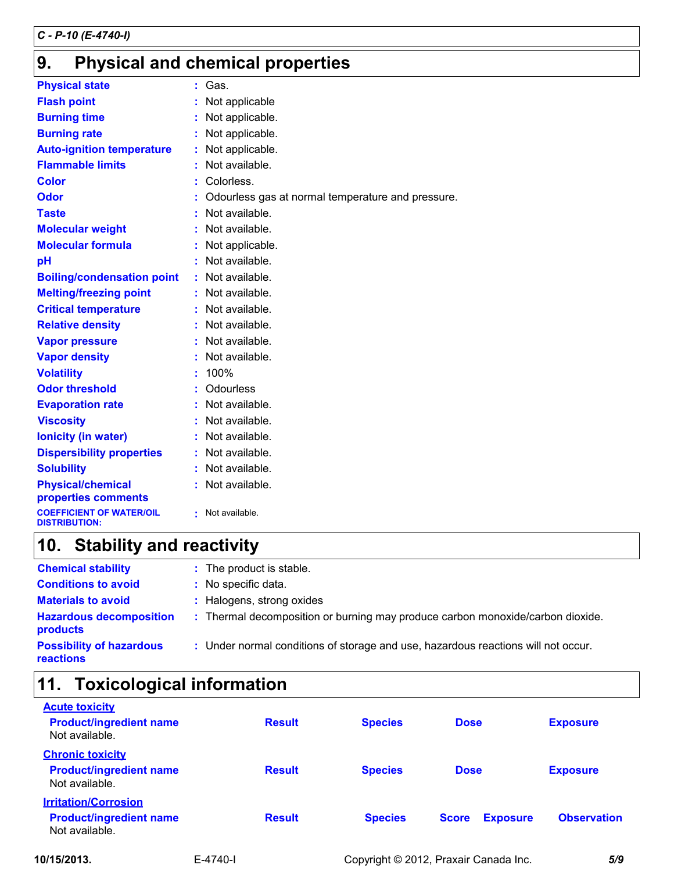# **Physical and chemical properties 9.**

| <b>Physical state</b>                                   |    | Gas.                                              |
|---------------------------------------------------------|----|---------------------------------------------------|
| <b>Flash point</b>                                      |    | Not applicable                                    |
| <b>Burning time</b>                                     |    | Not applicable.                                   |
| <b>Burning rate</b>                                     |    | Not applicable.                                   |
| <b>Auto-ignition temperature</b>                        |    | Not applicable.                                   |
| <b>Flammable limits</b>                                 |    | Not available.                                    |
| <b>Color</b>                                            |    | Colorless.                                        |
| Odor                                                    |    | Odourless gas at normal temperature and pressure. |
| <b>Taste</b>                                            |    | Not available.                                    |
| <b>Molecular weight</b>                                 |    | Not available.                                    |
| <b>Molecular formula</b>                                |    | Not applicable.                                   |
| pH                                                      |    | Not available.                                    |
| <b>Boiling/condensation point</b>                       |    | Not available.                                    |
| <b>Melting/freezing point</b>                           | t. | Not available.                                    |
| <b>Critical temperature</b>                             |    | Not available.                                    |
| <b>Relative density</b>                                 |    | Not available.                                    |
| <b>Vapor pressure</b>                                   |    | Not available.                                    |
| <b>Vapor density</b>                                    |    | Not available.                                    |
| <b>Volatility</b>                                       |    | 100%                                              |
| <b>Odor threshold</b>                                   |    | <b>Odourless</b>                                  |
| <b>Evaporation rate</b>                                 |    | Not available.                                    |
| <b>Viscosity</b>                                        |    | Not available.                                    |
| <b>lonicity (in water)</b>                              |    | Not available.                                    |
| <b>Dispersibility properties</b>                        |    | Not available.                                    |
| <b>Solubility</b>                                       |    | Not available.                                    |
| <b>Physical/chemical</b><br>properties comments         |    | Not available.                                    |
| <b>COEFFICIENT OF WATER/OIL</b><br><b>DISTRIBUTION:</b> |    | Not available.                                    |

# **Stability and reactivity 10.**

| <b>Chemical stability</b>                           | : The product is stable.                                                          |
|-----------------------------------------------------|-----------------------------------------------------------------------------------|
| <b>Conditions to avoid</b>                          | : No specific data.                                                               |
| <b>Materials to avoid</b>                           | : Halogens, strong oxides                                                         |
| <b>Hazardous decomposition</b><br><b>products</b>   | : Thermal decomposition or burning may produce carbon monoxide/carbon dioxide.    |
| <b>Possibility of hazardous</b><br><b>reactions</b> | : Under normal conditions of storage and use, hazardous reactions will not occur. |

# **11. Toxicological information**

| <b>Acute toxicity</b>                            |                |               |                |                                       |                    |
|--------------------------------------------------|----------------|---------------|----------------|---------------------------------------|--------------------|
| <b>Product/ingredient name</b><br>Not available. |                | <b>Result</b> | <b>Species</b> | <b>Dose</b>                           | <b>Exposure</b>    |
| <b>Chronic toxicity</b>                          |                |               |                |                                       |                    |
| <b>Product/ingredient name</b><br>Not available. |                | <b>Result</b> | <b>Species</b> | <b>Dose</b>                           | <b>Exposure</b>    |
| <b>Irritation/Corrosion</b>                      |                |               |                |                                       |                    |
| <b>Product/ingredient name</b><br>Not available. |                | <b>Result</b> | <b>Species</b> | <b>Exposure</b><br><b>Score</b>       | <b>Observation</b> |
| 10/15/2013.                                      | $E - 4740 - I$ |               |                | Copyright © 2012, Praxair Canada Inc. | 5/9                |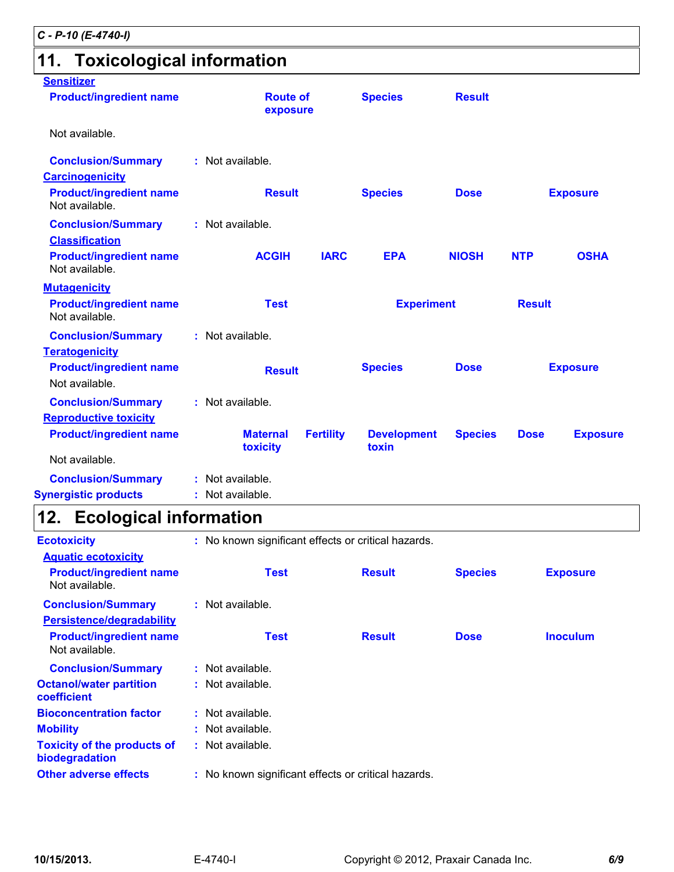# **11. Toxicological information**

| <b>Sensitizer</b>                                                             |                                                     |                             |                |             |                 |
|-------------------------------------------------------------------------------|-----------------------------------------------------|-----------------------------|----------------|-------------|-----------------|
| <b>Product/ingredient name</b>                                                | <b>Route of</b><br>exposure                         | <b>Species</b>              | <b>Result</b>  |             |                 |
| Not available.                                                                |                                                     |                             |                |             |                 |
| <b>Conclusion/Summary</b>                                                     | : Not available.                                    |                             |                |             |                 |
| <b>Carcinogenicity</b>                                                        |                                                     |                             |                |             |                 |
| <b>Product/ingredient name</b><br>Not available.                              | <b>Result</b>                                       | <b>Species</b>              | <b>Dose</b>    |             | <b>Exposure</b> |
| <b>Conclusion/Summary</b><br><b>Classification</b>                            | : Not available.                                    |                             |                |             |                 |
| <b>Product/ingredient name</b><br>Not available.                              | <b>ACGIH</b><br><b>IARC</b>                         | <b>EPA</b>                  | <b>NIOSH</b>   | <b>NTP</b>  | <b>OSHA</b>     |
| <b>Mutagenicity</b>                                                           |                                                     |                             |                |             |                 |
| <b>Product/ingredient name</b><br>Not available.                              | <b>Test</b><br><b>Experiment</b>                    |                             | <b>Result</b>  |             |                 |
| <b>Conclusion/Summary</b>                                                     | : Not available.                                    |                             |                |             |                 |
| <b>Teratogenicity</b>                                                         |                                                     |                             |                |             |                 |
| <b>Product/ingredient name</b><br>Not available.                              | <b>Result</b>                                       | <b>Species</b>              | <b>Dose</b>    |             | <b>Exposure</b> |
| <b>Conclusion/Summary</b>                                                     | : Not available.                                    |                             |                |             |                 |
| <b>Reproductive toxicity</b>                                                  |                                                     |                             |                |             |                 |
| <b>Product/ingredient name</b>                                                | <b>Maternal</b><br><b>Fertility</b><br>toxicity     | <b>Development</b><br>toxin | <b>Species</b> | <b>Dose</b> | <b>Exposure</b> |
| Not available.                                                                |                                                     |                             |                |             |                 |
| <b>Conclusion/Summary</b>                                                     | : Not available.                                    |                             |                |             |                 |
| <b>Synergistic products</b>                                                   | : Not available.                                    |                             |                |             |                 |
| 12. Ecological information                                                    |                                                     |                             |                |             |                 |
| <b>Ecotoxicity</b>                                                            | : No known significant effects or critical hazards. |                             |                |             |                 |
| <b>Aquatic ecotoxicity</b>                                                    |                                                     |                             |                |             |                 |
| <b>Product/ingredient name</b><br>Not available.                              | <b>Test</b>                                         | <b>Result</b>               | <b>Species</b> |             | <b>Exposure</b> |
| <b>Conclusion/Summary</b>                                                     | : Not available.                                    |                             |                |             |                 |
| Persistence/degradability<br><b>Product/ingredient name</b><br>Not available. | <b>Test</b>                                         | <b>Result</b>               | <b>Dose</b>    |             | <b>Inoculum</b> |
| <b>Conclusion/Summary</b>                                                     | : Not available.                                    |                             |                |             |                 |
| <b>Octanol/water partition</b>                                                | : Not available.                                    |                             |                |             |                 |

**Toxicity of the products of**

**Mobility :** Not available.

**Bioconcentration factor :** Not available.

**biodegradation**

**coefficient**

**:** Not available.

**Other adverse effects** : No known significant effects or critical hazards.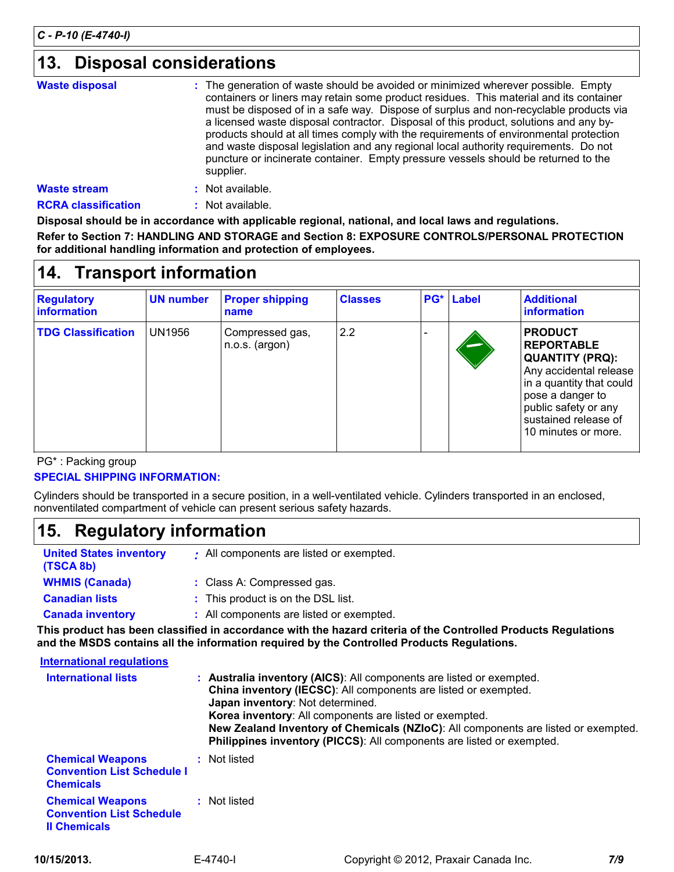# **Disposal considerations 13.**

| <b>Waste disposal</b> | : The generation of waste should be avoided or minimized wherever possible. Empty<br>containers or liners may retain some product residues. This material and its container<br>must be disposed of in a safe way. Dispose of surplus and non-recyclable products via<br>a licensed waste disposal contractor. Disposal of this product, solutions and any by-<br>products should at all times comply with the requirements of environmental protection<br>and waste disposal legislation and any regional local authority requirements. Do not<br>puncture or incinerate container. Empty pressure vessels should be returned to the<br>supplier. |
|-----------------------|---------------------------------------------------------------------------------------------------------------------------------------------------------------------------------------------------------------------------------------------------------------------------------------------------------------------------------------------------------------------------------------------------------------------------------------------------------------------------------------------------------------------------------------------------------------------------------------------------------------------------------------------------|
| <b>Waste stream</b>   | : Not available.                                                                                                                                                                                                                                                                                                                                                                                                                                                                                                                                                                                                                                  |

**RCRA classification :** Not available.

**Disposal should be in accordance with applicable regional, national, and local laws and regulations. Refer to Section 7: HANDLING AND STORAGE and Section 8: EXPOSURE CONTROLS/PERSONAL PROTECTION for additional handling information and protection of employees.**

# **Transport information 14.**

| <b>Regulatory</b><br>information | <b>UN number</b> | <b>Proper shipping</b><br>name      | <b>Classes</b> | PG* | Label | <b>Additional</b><br>information                                                                                                                                                                               |
|----------------------------------|------------------|-------------------------------------|----------------|-----|-------|----------------------------------------------------------------------------------------------------------------------------------------------------------------------------------------------------------------|
| <b>TDG Classification</b>        | UN1956           | Compressed gas,<br>$n.o.s.$ (argon) | 2.2            |     |       | <b>PRODUCT</b><br><b>REPORTABLE</b><br><b>QUANTITY (PRQ):</b><br>Any accidental release<br>in a quantity that could<br>pose a danger to<br>public safety or any<br>sustained release of<br>10 minutes or more. |

PG\* : Packing group

### **SPECIAL SHIPPING INFORMATION:**

Cylinders should be transported in a secure position, in a well-ventilated vehicle. Cylinders transported in an enclosed, nonventilated compartment of vehicle can present serious safety hazards.

## **Regulatory information 15.**

| <b>United States inventory</b><br>(TSCA 8b) | : All components are listed or exempted. |
|---------------------------------------------|------------------------------------------|
| <b>WHMIS (Canada)</b>                       | : Class A: Compressed gas.               |
| <b>Canadian lists</b>                       | : This product is on the DSL list.       |
| <b>Canada inventory</b>                     | : All components are listed or exempted. |

**This product has been classified in accordance with the hazard criteria of the Controlled Products Regulations and the MSDS contains all the information required by the Controlled Products Regulations.**

| International regulations                                                         |                                                                                                                                                                                                                                                                                                                                                                                                       |
|-----------------------------------------------------------------------------------|-------------------------------------------------------------------------------------------------------------------------------------------------------------------------------------------------------------------------------------------------------------------------------------------------------------------------------------------------------------------------------------------------------|
| <b>International lists</b>                                                        | : Australia inventory (AICS): All components are listed or exempted.<br>China inventory (IECSC): All components are listed or exempted.<br>Japan inventory: Not determined.<br>Korea inventory: All components are listed or exempted.<br>New Zealand Inventory of Chemicals (NZIoC): All components are listed or exempted.<br>Philippines inventory (PICCS): All components are listed or exempted. |
| <b>Chemical Weapons</b><br><b>Convention List Schedule I</b><br><b>Chemicals</b>  | : Not listed                                                                                                                                                                                                                                                                                                                                                                                          |
| <b>Chemical Weapons</b><br><b>Convention List Schedule</b><br><b>Il Chemicals</b> | : Not listed                                                                                                                                                                                                                                                                                                                                                                                          |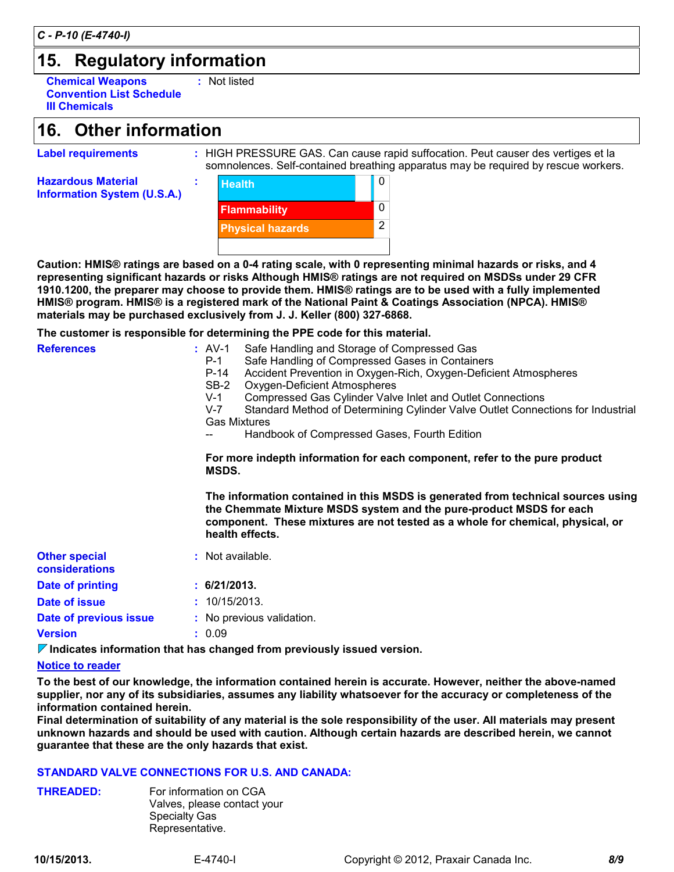**Label requirements :**

# **15. Regulatory information**

**Chemical Weapons Convention List Schedule III Chemicals :** Not listed

# **Other information 16.**

HIGH PRESSURE GAS. Can cause rapid suffocation. Peut causer des vertiges et la somnolences. Self-contained breathing apparatus may be required by rescue workers.

**Hazardous Material Information System (U.S.A.)**

 $\mathbf{0}$  and  $\mathbf{0}$  and  $\mathbf{0}$  and  $\mathbf{0}$  and  $\mathbf{0}$  and  $\mathbf{0}$  and  $\mathbf{0}$  and  $\mathbf{0}$  and  $\mathbf{0}$  and  $\mathbf{0}$  and  $\mathbf{0}$  and  $\mathbf{0}$  and  $\mathbf{0}$  and  $\mathbf{0}$  and  $\mathbf{0}$  and  $\mathbf{0}$  and  $\mathbf{0}$  and 0 2 **Health Flammability Physical hazards**

of Handling and Statings are not required on mobods<br>ose to provide them. HMIS® ratings are to be used with a fu<br>stered mark of the National Paint & Coatings Association (N<br>lusively from J. J. Keller (800) 327-6868.<br>determi **Caution: HMIS® ratings are based on a 0-4 rating scale, with 0 representing minimal hazards or risks, and 4 representing significant hazards or risks Although HMIS® ratings are not required on MSDSs under 29 CFR 1910.1200, the preparer may choose to provide them. HMIS® ratings are to be used with a fully implemented materials may be purchased exclusively from J. J. Keller (800) 327-6868.**

|                                        | TV. IZUU, LIIG proparor may chuuso tu pruviuo tiioin. Tiimuu ratings aro tu bo usou with a funy implomontou<br>HMIS® program. HMIS® is a registered mark of the National Paint & Coatings Association (NPCA). HMIS®<br>materials may be purchased exclusively from J. J. Keller (800) 327-6868.                                                                                                                                                                                                                                                                            |  |  |
|----------------------------------------|----------------------------------------------------------------------------------------------------------------------------------------------------------------------------------------------------------------------------------------------------------------------------------------------------------------------------------------------------------------------------------------------------------------------------------------------------------------------------------------------------------------------------------------------------------------------------|--|--|
|                                        | The customer is responsible for determining the PPE code for this material.                                                                                                                                                                                                                                                                                                                                                                                                                                                                                                |  |  |
| <b>References</b>                      | : AV-1<br>Safe Handling and Storage of Compressed Gas<br>$P-1$<br>Safe Handling of Compressed Gases in Containers<br>Accident Prevention in Oxygen-Rich, Oxygen-Deficient Atmospheres<br>$P-14$<br>$SB-2$<br>Oxygen-Deficient Atmospheres<br>$V-1$<br>Compressed Gas Cylinder Valve Inlet and Outlet Connections<br>Standard Method of Determining Cylinder Valve Outlet Connections for Industrial<br>$V-7$<br><b>Gas Mixtures</b><br>Handbook of Compressed Gases, Fourth Edition<br>For more indepth information for each component, refer to the pure product<br>MSDS. |  |  |
|                                        | The information contained in this MSDS is generated from technical sources using<br>the Chemmate Mixture MSDS system and the pure-product MSDS for each<br>component. These mixtures are not tested as a whole for chemical, physical, or<br>health effects.                                                                                                                                                                                                                                                                                                               |  |  |
| <b>Other special</b><br>considerations | : Not available.                                                                                                                                                                                                                                                                                                                                                                                                                                                                                                                                                           |  |  |
| Date of printing                       | : 6/21/2013.                                                                                                                                                                                                                                                                                                                                                                                                                                                                                                                                                               |  |  |
| <b>Date of issue</b>                   | : 10/15/2013.                                                                                                                                                                                                                                                                                                                                                                                                                                                                                                                                                              |  |  |
| Date of previous issue                 | : No previous validation.                                                                                                                                                                                                                                                                                                                                                                                                                                                                                                                                                  |  |  |
| <b>Version</b>                         | : 0.09                                                                                                                                                                                                                                                                                                                                                                                                                                                                                                                                                                     |  |  |

**Indicates information that has changed from previously issued version.**

### **Notice to reader**

**To the best of our knowledge, the information contained herein is accurate. However, neither the above-named supplier, nor any of its subsidiaries, assumes any liability whatsoever for the accuracy or completeness of the information contained herein.**

**Final determination of suitability of any material is the sole responsibility of the user. All materials may present unknown hazards and should be used with caution. Although certain hazards are described herein, we cannot guarantee that these are the only hazards that exist.**

### **STANDARD VALVE CONNECTIONS FOR U.S. AND CANADA:**

**THREADED:** For information on CGA Valves, please contact your Specialty Gas Representative.